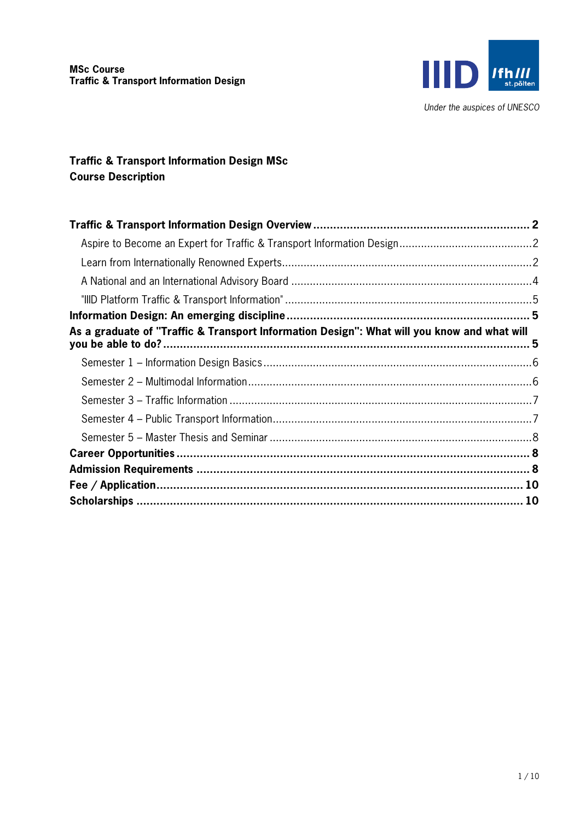

# **Traffic & Transport Information Design MSc Course Description**

| As a graduate of "Traffic & Transport Information Design": What will you know and what will |  |
|---------------------------------------------------------------------------------------------|--|
|                                                                                             |  |
|                                                                                             |  |
|                                                                                             |  |
|                                                                                             |  |
|                                                                                             |  |
|                                                                                             |  |
|                                                                                             |  |
|                                                                                             |  |
|                                                                                             |  |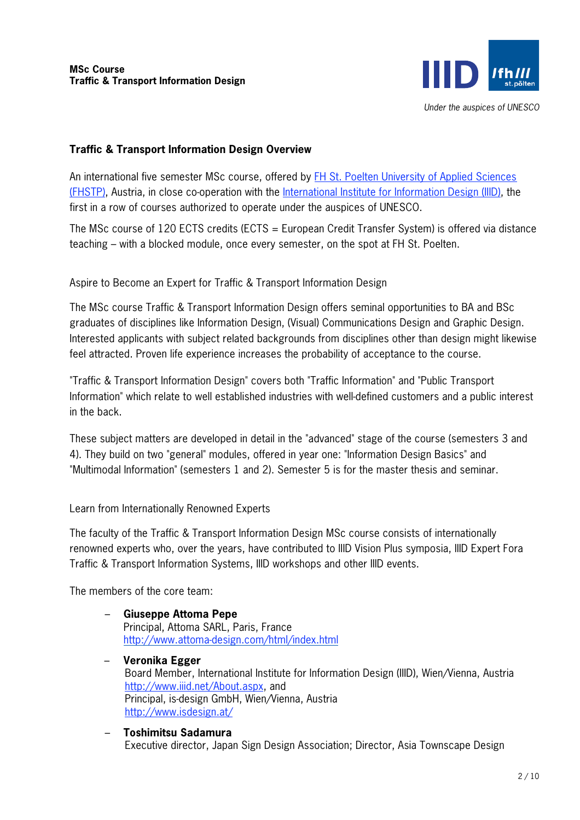

#### Under the auspices of UNESCO

# **Traffic & Transport Information Design Overview**

An international five semester MSc course, offered by FH St. Poelten University of Applied Sciences (FHSTP), Austria, in close co-operation with the International Institute for Information Design (IIID), the first in a row of courses authorized to operate under the auspices of UNESCO.

The MSc course of 120 ECTS credits (ECTS = European Credit Transfer System) is offered via distance teaching – with a blocked module, once every semester, on the spot at FH St. Poelten.

Aspire to Become an Expert for Traffic & Transport Information Design

The MSc course Traffic & Transport Information Design offers seminal opportunities to BA and BSc graduates of disciplines like Information Design, (Visual) Communications Design and Graphic Design. Interested applicants with subject related backgrounds from disciplines other than design might likewise feel attracted. Proven life experience increases the probability of acceptance to the course.

"Traffic & Transport Information Design" covers both "Traffic Information" and "Public Transport Information" which relate to well established industries with well-defined customers and a public interest in the back.

These subject matters are developed in detail in the "advanced" stage of the course (semesters 3 and 4). They build on two "general" modules, offered in year one: "Information Design Basics" and "Multimodal Information" (semesters 1 and 2). Semester 5 is for the master thesis and seminar.

Learn from Internationally Renowned Experts

The faculty of the Traffic & Transport Information Design MSc course consists of internationally renowned experts who, over the years, have contributed to IIID Vision Plus symposia, IIID Expert Fora Traffic & Transport Information Systems, IIID workshops and other IIID events.

The members of the core team:

- **Giuseppe Attoma Pepe** Principal, Attoma SARL, Paris, France http://www.attoma-design.com/html/index.html
- **Veronika Egger** Board Member, International Institute for Information Design (IIID), Wien/Vienna, Austria http://www.iiid.net/About.aspx, and Principal, is-design GmbH, Wien/Vienna, Austria http://www.isdesign.at/
- **Toshimitsu Sadamura** Executive director, Japan Sign Design Association; Director, Asia Townscape Design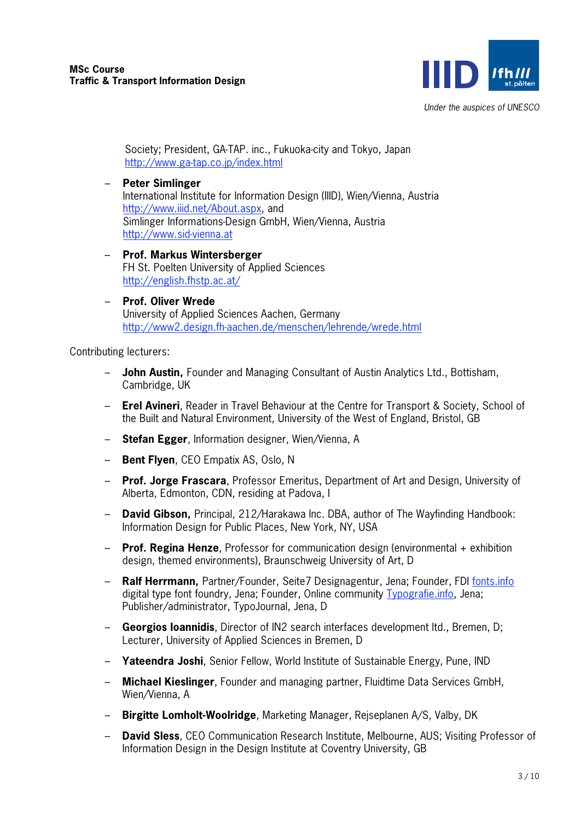

Society; President, GA-TAP. inc., Fukuoka-city and Tokyo, Japan http://www.ga-tap.co.jp/index.html

- **Peter Simlinger** International Institute for Information Design (IIID), Wien/Vienna, Austria http://www.iiid.net/About.aspx, and Simlinger Informations-Design GmbH, Wien/Vienna, Austria http://www.sid-vienna.at
- **Prof. Markus Wintersberger** FH St. Poelten University of Applied Sciences http://english.fhstp.ac.at/
- **Prof. Oliver Wrede** University of Applied Sciences Aachen, Germany http://www2.design.fh-aachen.de/menschen/lehrende/wrede.html

Contributing lecturers:

- **John Austin,** Founder and Managing Consultant of Austin Analytics Ltd., Bottisham, Cambridge, UK
- **Erel Avineri**, Reader in Travel Behaviour at the Centre for Transport & Society, School of the Built and Natural Environment, University of the West of England, Bristol, GB
- **Stefan Egger**, Information designer, Wien/Vienna, A
- **Bent Flyen**, CEO Empatix AS, Oslo, N
- **Prof. Jorge Frascara**, Professor Emeritus, Department of Art and Design, University of Alberta, Edmonton, CDN, residing at Padova, I
- **David Gibson,** Principal, 212/Harakawa Inc. DBA, author of The Wayfinding Handbook: Information Design for Public Places, New York, NY, USA
- **Prof. Regina Henze**, Professor for communication design (environmental + exhibition design, themed environments), Braunschweig University of Art, D
- **Ralf Herrmann,** Partner/Founder, Seite7 Designagentur, Jena; Founder, FDI fonts.info digital type font foundry, Jena; Founder, Online community Typografie.info, Jena; Publisher/administrator, TypoJournal, Jena, D
- **Georgios Ioannidis**, Director of IN2 search interfaces development ltd., Bremen, D; Lecturer, University of Applied Sciences in Bremen, D
- **Yateendra Joshi**, Senior Fellow, World Institute of Sustainable Energy, Pune, IND
- **Michael Kieslinger**, Founder and managing partner, Fluidtime Data Services GmbH, Wien/Vienna, A
- **Birgitte Lomholt-Woolridge**, Marketing Manager, Rejseplanen A/S, Valby, DK
- **David Sless**, CEO Communication Research Institute, Melbourne, AUS; Visiting Professor of Information Design in the Design Institute at Coventry University, GB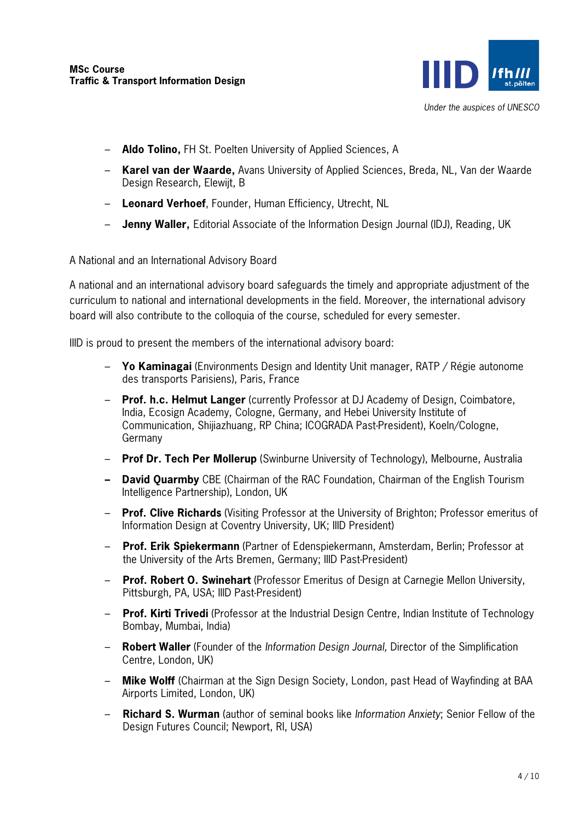

- **Aldo Tolino,** FH St. Poelten University of Applied Sciences, A
- **Karel van der Waarde,** Avans University of Applied Sciences, Breda, NL, Van der Waarde Design Research, Elewijt, B
- **Leonard Verhoef**, Founder, Human Efficiency, Utrecht, NL
- **Jenny Waller,** Editorial Associate of the Information Design Journal (IDJ), Reading, UK

A National and an International Advisory Board

A national and an international advisory board safeguards the timely and appropriate adjustment of the curriculum to national and international developments in the field. Moreover, the international advisory board will also contribute to the colloquia of the course, scheduled for every semester.

IIID is proud to present the members of the international advisory board:

- **Yo Kaminagai** (Environments Design and Identity Unit manager, RATP / Régie autonome des transports Parisiens), Paris, France
- **Prof. h.c. Helmut Langer** (currently Professor at DJ Academy of Design, Coimbatore, India, Ecosign Academy, Cologne, Germany, and Hebei University Institute of Communication, Shijiazhuang, RP China; ICOGRADA Past-President), Koeln/Cologne, Germany
- **Prof Dr. Tech Per Mollerup** (Swinburne University of Technology), Melbourne, Australia
- **– David Quarmby** CBE (Chairman of the RAC Foundation, Chairman of the English Tourism Intelligence Partnership), London, UK
- **Prof. Clive Richards** (Visiting Professor at the University of Brighton; Professor emeritus of Information Design at Coventry University, UK; IIID President)
- **Prof. Erik Spiekermann** (Partner of Edenspiekermann, Amsterdam, Berlin; Professor at the University of the Arts Bremen, Germany; IIID Past-President)
- **Prof. Robert O. Swinehart** (Professor Emeritus of Design at Carnegie Mellon University, Pittsburgh, PA, USA; IIID Past-President)
- **Prof. Kirti Trivedi** (Professor at the Industrial Design Centre, Indian Institute of Technology Bombay, Mumbai, India)
- **Robert Waller** (Founder of the Information Design Journal, Director of the Simplification Centre, London, UK)
- **Mike Wolff** (Chairman at the Sign Design Society, London, past Head of Wayfinding at BAA Airports Limited, London, UK)
- **Richard S. Wurman** (author of seminal books like Information Anxiety; Senior Fellow of the Design Futures Council; Newport, RI, USA)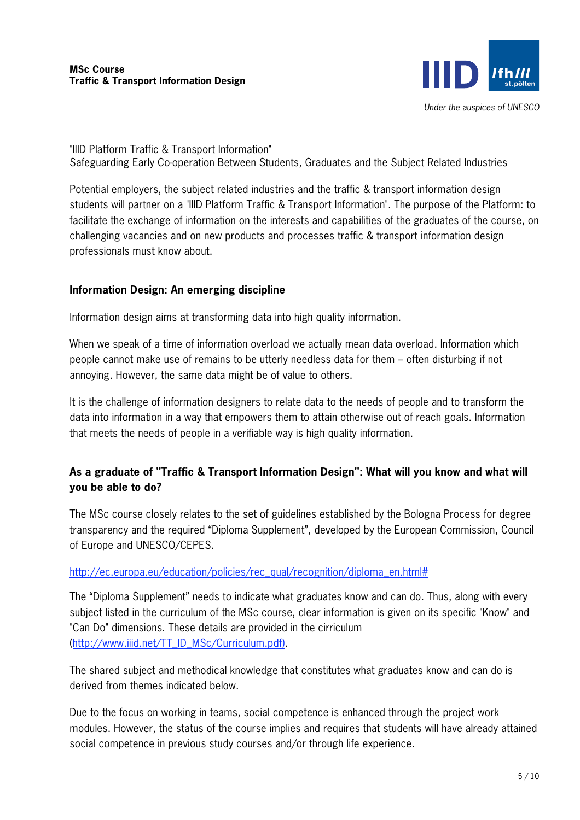

"IIID Platform Traffic & Transport Information" Safeguarding Early Co-operation Between Students, Graduates and the Subject Related Industries

Potential employers, the subject related industries and the traffic & transport information design students will partner on a "IIID Platform Traffic & Transport Information". The purpose of the Platform: to facilitate the exchange of information on the interests and capabilities of the graduates of the course, on challenging vacancies and on new products and processes traffic & transport information design professionals must know about.

# **Information Design: An emerging discipline**

Information design aims at transforming data into high quality information.

When we speak of a time of information overload we actually mean data overload. Information which people cannot make use of remains to be utterly needless data for them – often disturbing if not annoying. However, the same data might be of value to others.

It is the challenge of information designers to relate data to the needs of people and to transform the data into information in a way that empowers them to attain otherwise out of reach goals. Information that meets the needs of people in a verifiable way is high quality information.

# **As a graduate of "Traffic & Transport Information Design": What will you know and what will you be able to do?**

The MSc course closely relates to the set of guidelines established by the Bologna Process for degree transparency and the required "Diploma Supplement", developed by the European Commission, Council of Europe and UNESCO/CEPES.

### http://ec.europa.eu/education/policies/rec\_qual/recognition/diploma\_en.html#

The "Diploma Supplement" needs to indicate what graduates know and can do. Thus, along with every subject listed in the curriculum of the MSc course, clear information is given on its specific "Know" and "Can Do" dimensions. These details are provided in the cirriculum (http://www.iiid.net/TT\_ID\_MSc/Curriculum.pdf).

The shared subject and methodical knowledge that constitutes what graduates know and can do is derived from themes indicated below.

Due to the focus on working in teams, social competence is enhanced through the project work modules. However, the status of the course implies and requires that students will have already attained social competence in previous study courses and/or through life experience.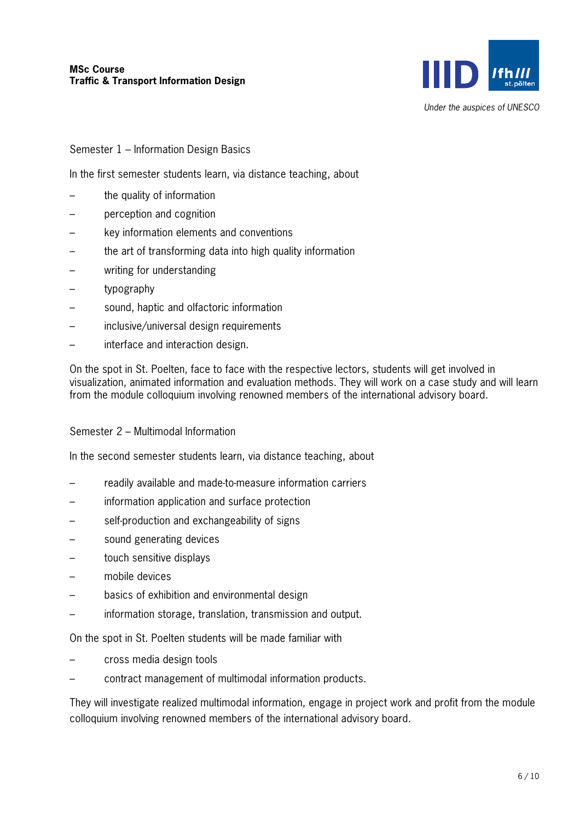

Under the auspices of UNESCO

Semester 1 – Information Design Basics

In the first semester students learn, via distance teaching, about

- the quality of information
- perception and cognition
- key information elements and conventions
- the art of transforming data into high quality information
- writing for understanding
- typography
- sound, haptic and olfactoric information
- inclusive/universal design requirements
- interface and interaction design.

On the spot in St. Poelten, face to face with the respective lectors, students will get involved in visualization, animated information and evaluation methods. They will work on a case study and will learn from the module colloquium involving renowned members of the international advisory board.

#### Semester 2 – Multimodal Information

In the second semester students learn, via distance teaching, about

- readily available and made-to-measure information carriers
- information application and surface protection
- self-production and exchangeability of signs
- sound generating devices
- touch sensitive displays
- mobile devices
- basics of exhibition and environmental design
- information storage, translation, transmission and output.

On the spot in St. Poelten students will be made familiar with

- cross media design tools
- contract management of multimodal information products.

They will investigate realized multimodal information, engage in project work and profit from the module colloquium involving renowned members of the international advisory board.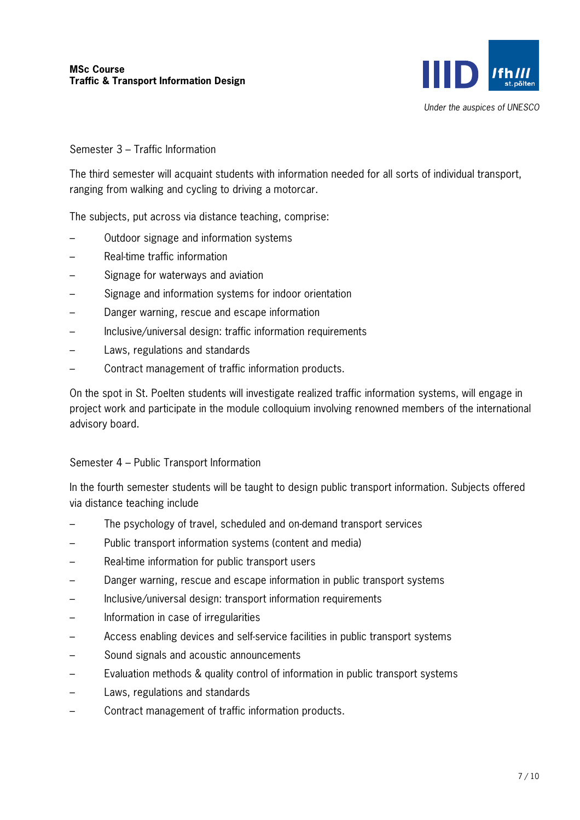

### Semester 3 – Traffic Information

The third semester will acquaint students with information needed for all sorts of individual transport, ranging from walking and cycling to driving a motorcar.

The subjects, put across via distance teaching, comprise:

- Outdoor signage and information systems
- Real-time traffic information
- Signage for waterways and aviation
- Signage and information systems for indoor orientation
- Danger warning, rescue and escape information
- Inclusive/universal design: traffic information requirements
- Laws, regulations and standards
- Contract management of traffic information products.

On the spot in St. Poelten students will investigate realized traffic information systems, will engage in project work and participate in the module colloquium involving renowned members of the international advisory board.

### Semester 4 – Public Transport Information

In the fourth semester students will be taught to design public transport information. Subjects offered via distance teaching include

- The psychology of travel, scheduled and on-demand transport services
- Public transport information systems (content and media)
- Real-time information for public transport users
- Danger warning, rescue and escape information in public transport systems
- Inclusive/universal design: transport information requirements
- Information in case of irregularities
- Access enabling devices and self-service facilities in public transport systems
- Sound signals and acoustic announcements
- Evaluation methods & quality control of information in public transport systems
- Laws, regulations and standards
- Contract management of traffic information products.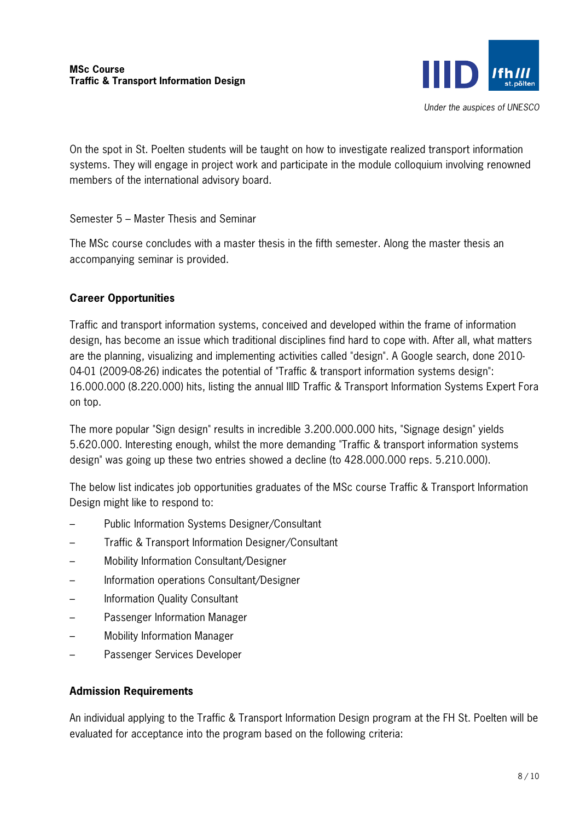

On the spot in St. Poelten students will be taught on how to investigate realized transport information systems. They will engage in project work and participate in the module colloquium involving renowned members of the international advisory board.

### Semester 5 – Master Thesis and Seminar

The MSc course concludes with a master thesis in the fifth semester. Along the master thesis an accompanying seminar is provided.

#### **Career Opportunities**

Traffic and transport information systems, conceived and developed within the frame of information design, has become an issue which traditional disciplines find hard to cope with. After all, what matters are the planning, visualizing and implementing activities called "design". A Google search, done 2010- 04-01 (2009-08-26) indicates the potential of "Traffic & transport information systems design": 16.000.000 (8.220.000) hits, listing the annual IIID Traffic & Transport Information Systems Expert Fora on top.

The more popular "Sign design" results in incredible 3.200.000.000 hits, "Signage design" yields 5.620.000. Interesting enough, whilst the more demanding "Traffic & transport information systems design" was going up these two entries showed a decline (to 428.000.000 reps. 5.210.000).

The below list indicates job opportunities graduates of the MSc course Traffic & Transport Information Design might like to respond to:

- Public Information Systems Designer/Consultant
- Traffic & Transport Information Designer/Consultant
- Mobility Information Consultant/Designer
- Information operations Consultant/Designer
- Information Quality Consultant
- Passenger Information Manager
- Mobility Information Manager
- Passenger Services Developer

#### **Admission Requirements**

An individual applying to the Traffic & Transport Information Design program at the FH St. Poelten will be evaluated for acceptance into the program based on the following criteria: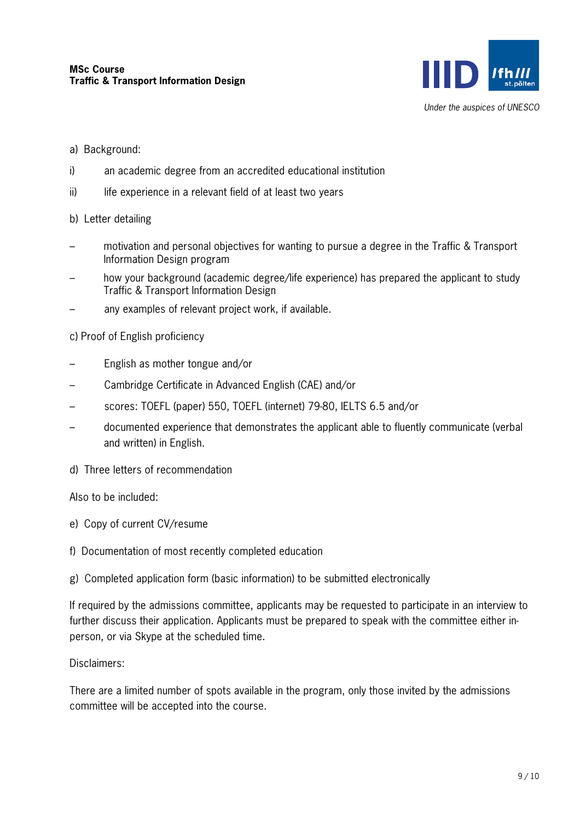

- a) Background:
- i) an academic degree from an accredited educational institution
- ii) life experience in a relevant field of at least two vears
- b) Letter detailing
- motivation and personal objectives for wanting to pursue a degree in the Traffic & Transport Information Design program
- how your background (academic degree/life experience) has prepared the applicant to study Traffic & Transport Information Design
- any examples of relevant project work, if available.

c) Proof of English proficiency

- English as mother tongue and/or
- Cambridge Certificate in Advanced English (CAE) and/or
- scores: TOEFL (paper) 550, TOEFL (internet) 79-80, IELTS 6.5 and/or
- documented experience that demonstrates the applicant able to fluently communicate (verbal and written) in English.
- d) Three letters of recommendation

Also to be included:

- e) Copy of current CV/resume
- f) Documentation of most recently completed education

g) Completed application form (basic information) to be submitted electronically

If required by the admissions committee, applicants may be requested to participate in an interview to further discuss their application. Applicants must be prepared to speak with the committee either inperson, or via Skype at the scheduled time.

Disclaimers:

There are a limited number of spots available in the program, only those invited by the admissions committee will be accepted into the course.